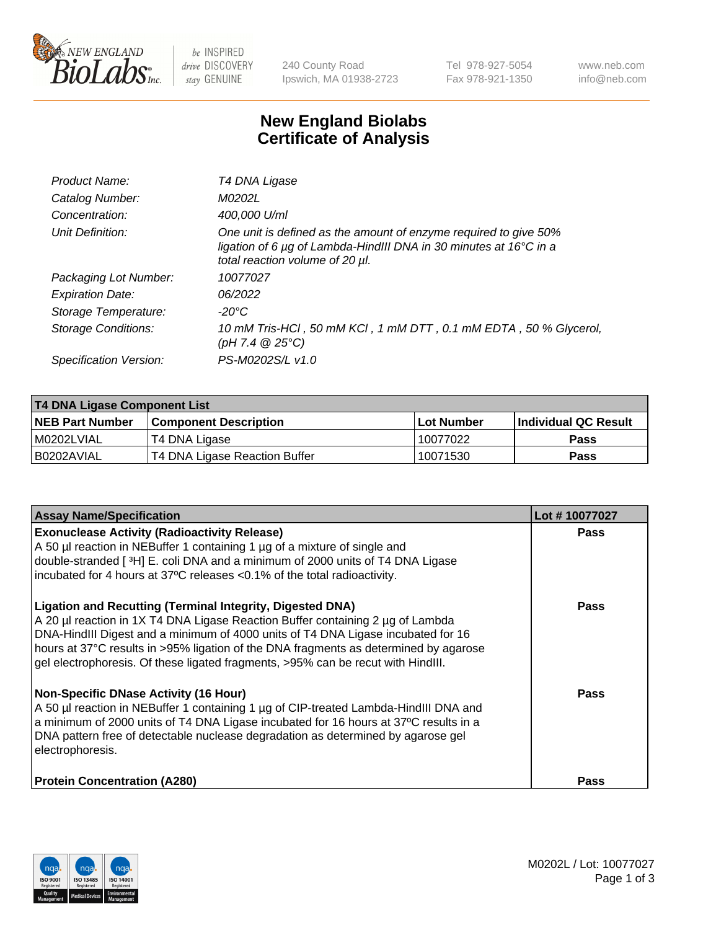

 $be$  INSPIRED drive DISCOVERY stay GENUINE

240 County Road Ipswich, MA 01938-2723 Tel 978-927-5054 Fax 978-921-1350 www.neb.com info@neb.com

## **New England Biolabs Certificate of Analysis**

| Product Name:           | T4 DNA Ligase                                                                                                                                                            |
|-------------------------|--------------------------------------------------------------------------------------------------------------------------------------------------------------------------|
| Catalog Number:         | M0202L                                                                                                                                                                   |
| Concentration:          | 400,000 U/ml                                                                                                                                                             |
| Unit Definition:        | One unit is defined as the amount of enzyme required to give 50%<br>ligation of 6 µg of Lambda-HindIII DNA in 30 minutes at 16°C in a<br>total reaction volume of 20 µl. |
| Packaging Lot Number:   | 10077027                                                                                                                                                                 |
| <b>Expiration Date:</b> | 06/2022                                                                                                                                                                  |
| Storage Temperature:    | -20°C                                                                                                                                                                    |
| Storage Conditions:     | 10 mM Tris-HCl, 50 mM KCl, 1 mM DTT, 0.1 mM EDTA, 50 % Glycerol,<br>(pH 7.4 $@25°C$ )                                                                                    |
| Specification Version:  | PS-M0202S/L v1.0                                                                                                                                                         |

| T4 DNA Ligase Component List |                               |              |                             |  |  |
|------------------------------|-------------------------------|--------------|-----------------------------|--|--|
| <b>NEB Part Number</b>       | <b>Component Description</b>  | l Lot Number | <b>Individual QC Result</b> |  |  |
| M0202LVIAL                   | T4 DNA Ligase                 | 10077022     | <b>Pass</b>                 |  |  |
| I B0202AVIAL                 | T4 DNA Ligase Reaction Buffer | 10071530     | <b>Pass</b>                 |  |  |

| <b>Assay Name/Specification</b>                                                                                                                                                                                                                                                                                                                                                                                    | Lot #10077027 |
|--------------------------------------------------------------------------------------------------------------------------------------------------------------------------------------------------------------------------------------------------------------------------------------------------------------------------------------------------------------------------------------------------------------------|---------------|
| <b>Exonuclease Activity (Radioactivity Release)</b><br>A 50 µl reaction in NEBuffer 1 containing 1 µg of a mixture of single and<br>double-stranded [3H] E. coli DNA and a minimum of 2000 units of T4 DNA Ligase<br>incubated for 4 hours at 37°C releases <0.1% of the total radioactivity.                                                                                                                      | <b>Pass</b>   |
| <b>Ligation and Recutting (Terminal Integrity, Digested DNA)</b><br>A 20 µl reaction in 1X T4 DNA Ligase Reaction Buffer containing 2 µg of Lambda<br>DNA-HindIII Digest and a minimum of 4000 units of T4 DNA Ligase incubated for 16<br>hours at 37°C results in >95% ligation of the DNA fragments as determined by agarose<br>gel electrophoresis. Of these ligated fragments, >95% can be recut with HindIII. | Pass          |
| <b>Non-Specific DNase Activity (16 Hour)</b><br>A 50 µl reaction in NEBuffer 1 containing 1 µg of CIP-treated Lambda-HindIII DNA and<br>a minimum of 2000 units of T4 DNA Ligase incubated for 16 hours at 37°C results in a<br>DNA pattern free of detectable nuclease degradation as determined by agarose gel<br>electrophoresis.                                                                               | <b>Pass</b>   |
| <b>Protein Concentration (A280)</b>                                                                                                                                                                                                                                                                                                                                                                                | Pass          |

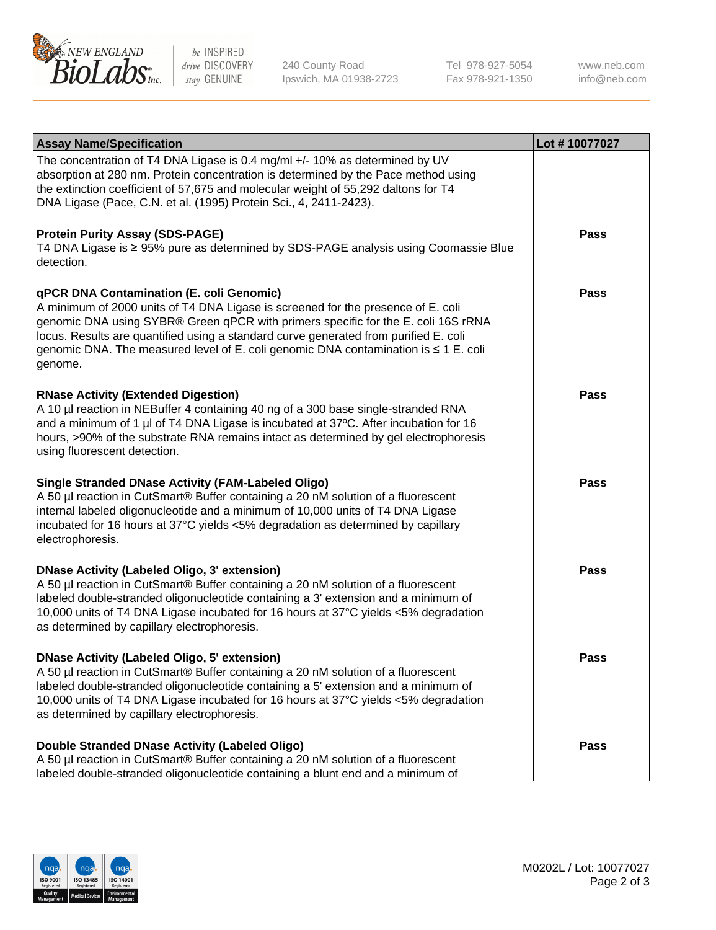

be INSPIRED drive DISCOVERY stay GENUINE

240 County Road Ipswich, MA 01938-2723 Tel 978-927-5054 Fax 978-921-1350

www.neb.com info@neb.com

| <b>Assay Name/Specification</b>                                                                                                                                                                                                                                                                                                                                                                             | Lot #10077027 |
|-------------------------------------------------------------------------------------------------------------------------------------------------------------------------------------------------------------------------------------------------------------------------------------------------------------------------------------------------------------------------------------------------------------|---------------|
| The concentration of T4 DNA Ligase is 0.4 mg/ml +/- 10% as determined by UV<br>absorption at 280 nm. Protein concentration is determined by the Pace method using<br>the extinction coefficient of 57,675 and molecular weight of 55,292 daltons for T4<br>DNA Ligase (Pace, C.N. et al. (1995) Protein Sci., 4, 2411-2423).                                                                                |               |
| <b>Protein Purity Assay (SDS-PAGE)</b><br>T4 DNA Ligase is ≥ 95% pure as determined by SDS-PAGE analysis using Coomassie Blue<br>detection.                                                                                                                                                                                                                                                                 | <b>Pass</b>   |
| qPCR DNA Contamination (E. coli Genomic)<br>A minimum of 2000 units of T4 DNA Ligase is screened for the presence of E. coli<br>genomic DNA using SYBR® Green qPCR with primers specific for the E. coli 16S rRNA<br>locus. Results are quantified using a standard curve generated from purified E. coli<br>genomic DNA. The measured level of E. coli genomic DNA contamination is ≤ 1 E. coli<br>genome. | Pass          |
| <b>RNase Activity (Extended Digestion)</b><br>A 10 µl reaction in NEBuffer 4 containing 40 ng of a 300 base single-stranded RNA<br>and a minimum of 1 µl of T4 DNA Ligase is incubated at 37°C. After incubation for 16<br>hours, >90% of the substrate RNA remains intact as determined by gel electrophoresis<br>using fluorescent detection.                                                             | Pass          |
| <b>Single Stranded DNase Activity (FAM-Labeled Oligo)</b><br>A 50 µl reaction in CutSmart® Buffer containing a 20 nM solution of a fluorescent<br>internal labeled oligonucleotide and a minimum of 10,000 units of T4 DNA Ligase<br>incubated for 16 hours at 37°C yields <5% degradation as determined by capillary<br>electrophoresis.                                                                   | <b>Pass</b>   |
| <b>DNase Activity (Labeled Oligo, 3' extension)</b><br>A 50 µl reaction in CutSmart® Buffer containing a 20 nM solution of a fluorescent<br>labeled double-stranded oligonucleotide containing a 3' extension and a minimum of<br>10,000 units of T4 DNA Ligase incubated for 16 hours at 37°C yields <5% degradation<br>as determined by capillary electrophoresis.                                        | Pass          |
| <b>DNase Activity (Labeled Oligo, 5' extension)</b><br>A 50 µl reaction in CutSmart® Buffer containing a 20 nM solution of a fluorescent<br>labeled double-stranded oligonucleotide containing a 5' extension and a minimum of<br>10,000 units of T4 DNA Ligase incubated for 16 hours at 37°C yields <5% degradation<br>as determined by capillary electrophoresis.                                        | Pass          |
| Double Stranded DNase Activity (Labeled Oligo)<br>A 50 µl reaction in CutSmart® Buffer containing a 20 nM solution of a fluorescent<br>labeled double-stranded oligonucleotide containing a blunt end and a minimum of                                                                                                                                                                                      | Pass          |